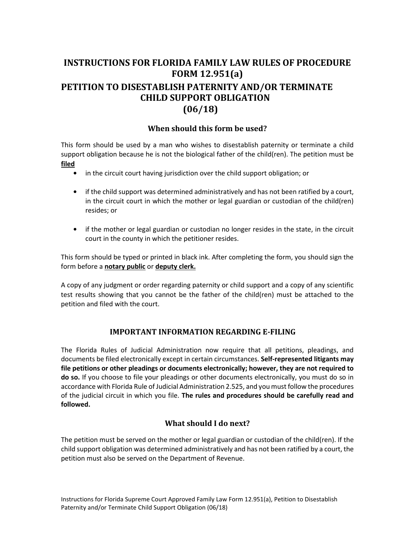# **INSTRUCTIONS FOR FLORIDA FAMILY LAW RULES OF PROCEDURE FORM 12.951(a) PETITION TO DISESTABLISH PATERNITY AND/OR TERMINATE CHILD SUPPORT OBLIGATION (06/18)**

## **When should this form be used?**

 This form should be used by a man who wishes to disestablish paternity or terminate a child support obligation because he is not the biological father of the child(ren). The petition must be **filed** 

- **•** in the circuit court having jurisdiction over the child support obligation; or
- **•** if the child support was determined administratively and has not been ratified by a court, in the circuit court in which the mother or legal guardian or custodian of the child(ren) resides; or
- **•** if the mother or legal guardian or custodian no longer resides in the state, in the circuit court in the county in which the petitioner resides.

 This form should be typed or printed in black ink. After completing the form, you should sign the  form before a **notary public** or **deputy clerk.** 

 A copy of any judgment or order regarding paternity or child support and a copy of any scientific test results showing that you cannot be the father of the child(ren) must be attached to the petition and filed with the court.

## **IMPORTANT INFORMATION REGARDING E-FILING**

 The Florida Rules of Judicial Administration now require that all petitions, pleadings, and documents be filed electronically except in certain circumstances. **Self-represented litigants may file petitions or other pleadings or documents electronically; however, they are not required to do so.** If you choose to file your pleadings or other documents electronically, you must do so in accordance with Florida Rule of Judicial Administration 2.525, and you must follow the procedures of the judicial circuit in which you file. **The rules and procedures should be carefully read and followed.** 

# **What should I do next?**

 The petition must be served on the mother or legal guardian or custodian of the child(ren). If the child support obligation was determined administratively and has not been ratified by a court, the petition must also be served on the Department of Revenue.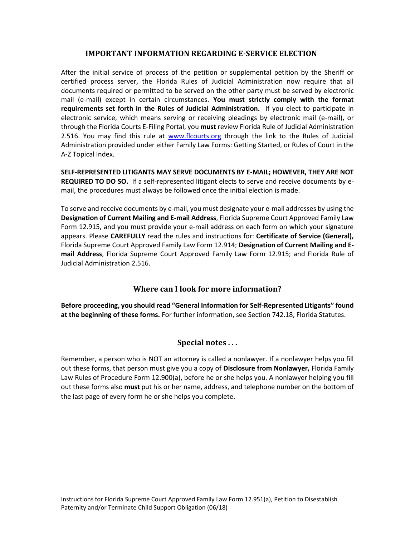## **IMPORTANT INFORMATION REGARDING E-SERVICE ELECTION**

 After the initial service of process of the petition or supplemental petition by the Sheriff or certified process server, the Florida Rules of Judicial Administration now require that all documents required or permitted to be served on the other party must be served by electronic mail (e-mail) except in certain circumstances. **You must strictly comply with the format requirements set forth in the Rules of Judicial Administration.** If you elect to participate in electronic service, which means serving or receiving pleadings by electronic mail (e-mail), or through the Florida Courts E-Filing Portal, you **must** review Florida Rule of Judicial Administration 2.516. You may find this rule at www.flcourts.org through the link to the Rules of Judicial Administration provided under either Family Law Forms: Getting Started, or Rules of Court in the A-Z Topical Index.

 **SELF-REPRESENTED LITIGANTS MAY SERVE DOCUMENTS BY E-MAIL; HOWEVER, THEY ARE NOT REQUIRED TO DO SO.** If a self-represented litigant elects to serve and receive documents by email, the procedures must always be followed once the initial election is made.

 To serve and receive documents by e-mail, you must designate your e-mail addresses by using the  **Designation of Current Mailing and E-mail Address**, Florida Supreme Court Approved Family Law Form 12.915, and you must provide your e-mail address on each form on which your signature appears. Please **CAREFULLY** read the rules and instructions for: **Certificate of Service (General),**  Florida Supreme Court Approved Family Law Form 12.914; **Designation of Current Mailing and E- mail Address**, Florida Supreme Court Approved Family Law Form 12.915; and Florida Rule of Judicial Administration 2.516.

## **Where can I look for more information?**

 **Before proceeding, you should read "General Information for Self-Represented Litigants" found at the beginning of these forms.** For further information, see Section 742.18, Florida Statutes.

# **Special notes . . .**

 Remember, a person who is NOT an attorney is called a nonlawyer. If a nonlawyer helps you fill out these forms, that person must give you a copy of **Disclosure from Nonlawyer,** Florida Family Law Rules of Procedure Form 12.900(a), before he or she helps you. A nonlawyer helping you fill out these forms also **must** put his or her name, address, and telephone number on the bottom of the last page of every form he or she helps you complete.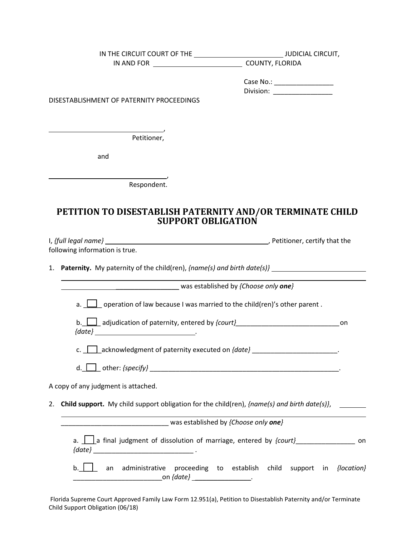| IN THE CIRCUIT COURT OF THE ________________________________JUDICIAL CIRCUIT,                                                  |                                                                    |                                                                                                                                                                                                                                      |
|--------------------------------------------------------------------------------------------------------------------------------|--------------------------------------------------------------------|--------------------------------------------------------------------------------------------------------------------------------------------------------------------------------------------------------------------------------------|
|                                                                                                                                |                                                                    |                                                                                                                                                                                                                                      |
|                                                                                                                                |                                                                    |                                                                                                                                                                                                                                      |
|                                                                                                                                | Case No.: ____________________<br>Division: ___________________    |                                                                                                                                                                                                                                      |
| DISESTABLISHMENT OF PATERNITY PROCEEDINGS                                                                                      |                                                                    |                                                                                                                                                                                                                                      |
|                                                                                                                                |                                                                    |                                                                                                                                                                                                                                      |
|                                                                                                                                |                                                                    |                                                                                                                                                                                                                                      |
| Petitioner,                                                                                                                    |                                                                    |                                                                                                                                                                                                                                      |
|                                                                                                                                |                                                                    |                                                                                                                                                                                                                                      |
| and                                                                                                                            |                                                                    |                                                                                                                                                                                                                                      |
|                                                                                                                                |                                                                    |                                                                                                                                                                                                                                      |
| Respondent.                                                                                                                    |                                                                    |                                                                                                                                                                                                                                      |
|                                                                                                                                |                                                                    |                                                                                                                                                                                                                                      |
| PETITION TO DISESTABLISH PATERNITY AND/OR TERMINATE CHILD                                                                      |                                                                    |                                                                                                                                                                                                                                      |
| <b>SUPPORT OBLIGATION</b>                                                                                                      |                                                                    |                                                                                                                                                                                                                                      |
|                                                                                                                                |                                                                    |                                                                                                                                                                                                                                      |
| following information is true.                                                                                                 |                                                                    |                                                                                                                                                                                                                                      |
|                                                                                                                                |                                                                    |                                                                                                                                                                                                                                      |
| 1. Paternity. My paternity of the child(ren), {name(s) and birth date(s)}                                                      |                                                                    |                                                                                                                                                                                                                                      |
| was established by {Choose only one}                                                                                           |                                                                    |                                                                                                                                                                                                                                      |
| a. $\Box$ operation of law because I was married to the child(ren)'s other parent.                                             |                                                                    |                                                                                                                                                                                                                                      |
| b. $\Box$ adjudication of paternity, entered by {court}<br>                                                                    |                                                                    | on                                                                                                                                                                                                                                   |
|                                                                                                                                |                                                                    |                                                                                                                                                                                                                                      |
| acknowledgment of paternity executed on {date}<br>c.                                                                           |                                                                    |                                                                                                                                                                                                                                      |
|                                                                                                                                |                                                                    |                                                                                                                                                                                                                                      |
| A copy of any judgment is attached.                                                                                            |                                                                    |                                                                                                                                                                                                                                      |
| <b>Child support.</b> My child support obligation for the child(ren), { $name(s)$ and birth date(s)},<br>2.                    |                                                                    | <u>and the state of the state of the state of the state of the state of the state of the state of the state of the state of the state of the state of the state of the state of the state of the state of the state of the state</u> |
|                                                                                                                                |                                                                    |                                                                                                                                                                                                                                      |
| ___________________________________ was established by {Choose only one}                                                       |                                                                    |                                                                                                                                                                                                                                      |
| a. $\boxed{\phantom{a}}$ a final judgment of dissolution of marriage, entered by {court}<br>and flow the count on the count on |                                                                    |                                                                                                                                                                                                                                      |
| $b.$ $\vert$<br>an                                                                                                             | administrative proceeding to establish child support in {location} |                                                                                                                                                                                                                                      |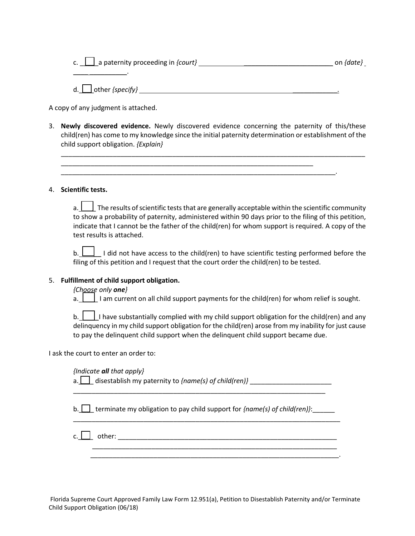|  |  | c. $\boxed{\phantom{a}}$ a paternity proceeding in {court} | on {date} |  |  |
|--|--|------------------------------------------------------------|-----------|--|--|
|--|--|------------------------------------------------------------|-----------|--|--|

d.\_\_\_\_other *{specify}* \_\_\_\_\_\_\_\_\_\_\_\_.

A copy of any judgment is attached.

 $\overline{\phantom{a}}$  .  $\overline{\phantom{a}}$ 

 3. **Newly discovered evidence.** Newly discovered evidence concerning the paternity of this/these child(ren) has come to my knowledge since the initial paternity determination or establishment of the child support obligation. *{Explain}* 

\_\_\_\_\_\_\_\_\_\_\_\_\_\_\_\_\_\_\_\_\_\_\_\_\_\_\_\_\_\_\_\_\_\_\_\_\_\_\_\_\_\_\_\_\_\_\_\_\_\_\_\_\_\_\_\_\_\_\_\_\_\_\_\_\_\_\_\_\_\_\_\_\_\_.

\_\_\_\_\_\_\_\_\_\_\_\_\_\_\_\_\_\_\_\_\_\_\_\_\_\_\_\_\_\_\_\_\_\_\_\_\_\_\_\_\_\_\_\_\_\_\_\_\_\_\_\_\_\_\_\_\_\_\_\_\_\_\_\_\_\_\_\_\_\_\_\_\_\_\_\_\_\_\_\_\_\_

#### 4. **Scientific tests.**

 to show a probability of paternity, administered within 90 days prior to the filing of this petition, a.  $\Box$  The results of scientific tests that are generally acceptable within the scientific community indicate that I cannot be the father of the child(ren) for whom support is required. A copy of the test results is attached.

b.  $\bigsqcup$  I did not have access to the child(ren) to have scientific testing performed before the filing of this petition and I request that the court order the child(ren) to be tested.

#### 5. **Fulfillment of child support obligation.**

 *{Choose only one}* 

a.  $\Box$  I am current on all child support payments for the child(ren) for whom relief is sought.

 delinquency in my child support obligation for the child(ren) arose from my inability for just cause b.  $\vert \vert$  I have substantially complied with my child support obligation for the child(ren) and any to pay the delinquent child support when the delinquent child support became due.

I ask the court to enter an order to:

*{Indicate all that apply}* 

a.<u> | |</u> disestablish my paternity to *{name(s) of child(ren)}* \_\_\_\_\_\_\_\_\_\_\_\_\_\_\_\_\_\_\_\_\_\_\_

b.  $\Box$  terminate my obligation to pay child support for *{name(s) of child(ren)}*:

\_\_\_\_\_\_\_\_\_\_\_\_\_\_\_\_\_\_\_\_\_\_\_\_\_\_\_\_\_\_\_\_\_\_\_\_\_\_\_\_\_\_\_\_\_\_\_\_\_\_\_\_\_\_\_\_\_\_\_\_\_\_\_\_\_\_\_\_\_\_\_\_

\_\_\_\_\_\_\_\_\_\_\_\_\_\_\_\_\_\_\_\_\_\_\_\_\_\_\_\_\_\_\_\_\_\_\_\_\_\_\_\_\_\_\_\_\_\_\_\_\_\_\_\_\_\_\_\_\_\_\_\_\_\_\_\_\_\_\_.

 $\mathsf{c.} \ \ \blacksquare$  other: